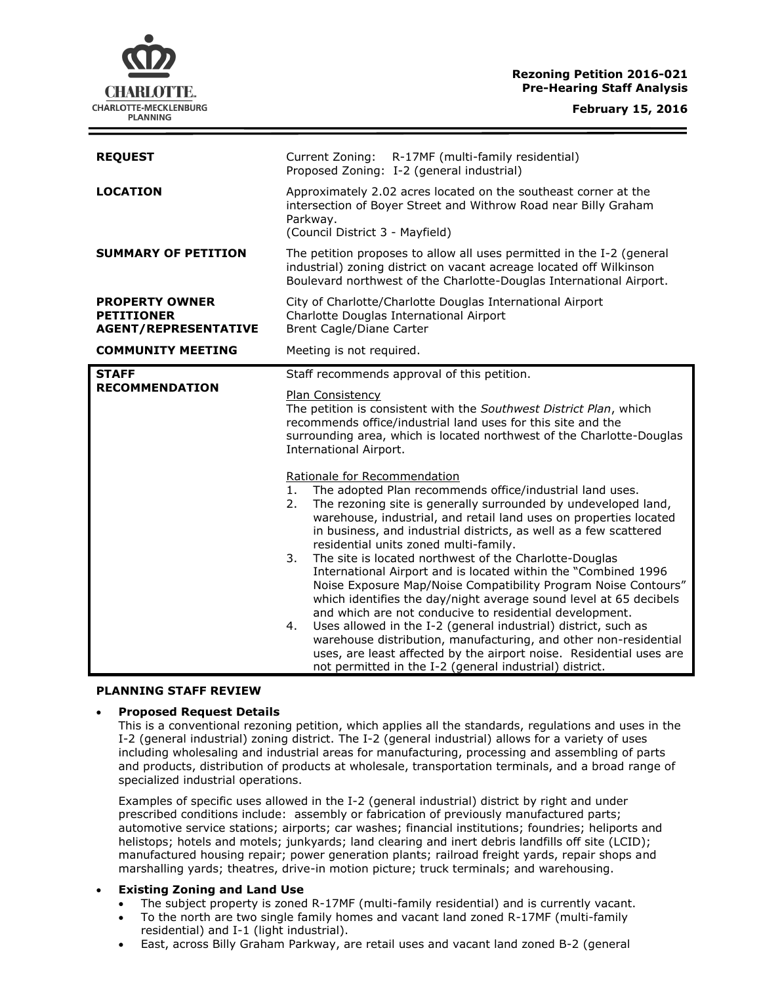# **Rezoning Petition 2016-021 Pre-Hearing Staff Analysis**

| <b>REQUEST</b>                                                            | Current Zoning: R-17MF (multi-family residential)<br>Proposed Zoning: I-2 (general industrial)                                                                                                                                                                                                                                                                                                                                                                                                                                                                                                                                                                                                                                                                                                                                                                                                                                                                              |
|---------------------------------------------------------------------------|-----------------------------------------------------------------------------------------------------------------------------------------------------------------------------------------------------------------------------------------------------------------------------------------------------------------------------------------------------------------------------------------------------------------------------------------------------------------------------------------------------------------------------------------------------------------------------------------------------------------------------------------------------------------------------------------------------------------------------------------------------------------------------------------------------------------------------------------------------------------------------------------------------------------------------------------------------------------------------|
| <b>LOCATION</b>                                                           | Approximately 2.02 acres located on the southeast corner at the<br>intersection of Boyer Street and Withrow Road near Billy Graham<br>Parkway.<br>(Council District 3 - Mayfield)                                                                                                                                                                                                                                                                                                                                                                                                                                                                                                                                                                                                                                                                                                                                                                                           |
| <b>SUMMARY OF PETITION</b>                                                | The petition proposes to allow all uses permitted in the I-2 (general<br>industrial) zoning district on vacant acreage located off Wilkinson<br>Boulevard northwest of the Charlotte-Douglas International Airport.                                                                                                                                                                                                                                                                                                                                                                                                                                                                                                                                                                                                                                                                                                                                                         |
| <b>PROPERTY OWNER</b><br><b>PETITIONER</b><br><b>AGENT/REPRESENTATIVE</b> | City of Charlotte/Charlotte Douglas International Airport<br>Charlotte Douglas International Airport<br><b>Brent Cagle/Diane Carter</b>                                                                                                                                                                                                                                                                                                                                                                                                                                                                                                                                                                                                                                                                                                                                                                                                                                     |
| <b>COMMUNITY MEETING</b>                                                  | Meeting is not required.                                                                                                                                                                                                                                                                                                                                                                                                                                                                                                                                                                                                                                                                                                                                                                                                                                                                                                                                                    |
| <b>STAFF</b><br><b>RECOMMENDATION</b>                                     | Staff recommends approval of this petition.<br>Plan Consistency<br>The petition is consistent with the Southwest District Plan, which<br>recommends office/industrial land uses for this site and the<br>surrounding area, which is located northwest of the Charlotte-Douglas<br>International Airport.                                                                                                                                                                                                                                                                                                                                                                                                                                                                                                                                                                                                                                                                    |
|                                                                           | Rationale for Recommendation<br>The adopted Plan recommends office/industrial land uses.<br>1.<br>The rezoning site is generally surrounded by undeveloped land,<br>2.<br>warehouse, industrial, and retail land uses on properties located<br>in business, and industrial districts, as well as a few scattered<br>residential units zoned multi-family.<br>The site is located northwest of the Charlotte-Douglas<br>3.<br>International Airport and is located within the "Combined 1996<br>Noise Exposure Map/Noise Compatibility Program Noise Contours"<br>which identifies the day/night average sound level at 65 decibels<br>and which are not conducive to residential development.<br>Uses allowed in the I-2 (general industrial) district, such as<br>4.<br>warehouse distribution, manufacturing, and other non-residential<br>uses, are least affected by the airport noise. Residential uses are<br>not permitted in the I-2 (general industrial) district. |

### **PLANNING STAFF REVIEW**

## **Proposed Request Details**

This is a conventional rezoning petition, which applies all the standards, regulations and uses in the I-2 (general industrial) zoning district. The I-2 (general industrial) allows for a variety of uses including wholesaling and industrial areas for manufacturing, processing and assembling of parts and products, distribution of products at wholesale, transportation terminals, and a broad range of specialized industrial operations.

Examples of specific uses allowed in the I-2 (general industrial) district by right and under prescribed conditions include: assembly or fabrication of previously manufactured parts; automotive service stations; airports; car washes; financial institutions; foundries; heliports and helistops; hotels and motels; junkyards; land clearing and inert debris landfills off site (LCID); manufactured housing repair; power generation plants; railroad freight yards, repair shops and marshalling yards; theatres, drive-in motion picture; truck terminals; and warehousing.

## **Existing Zoning and Land Use**

- The subject property is zoned R-17MF (multi-family residential) and is currently vacant.
- To the north are two single family homes and vacant land zoned R-17MF (multi-family residential) and I-1 (light industrial).
- East, across Billy Graham Parkway, are retail uses and vacant land zoned B-2 (general